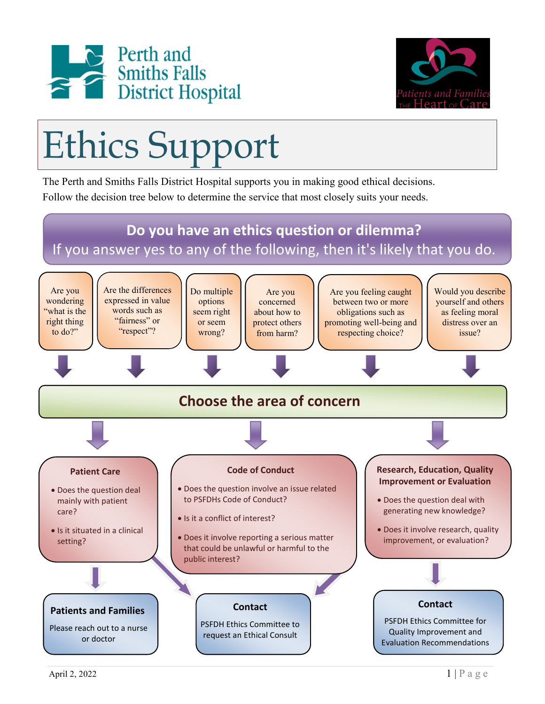



## Ethics Support

The Perth and Smiths Falls District Hospital supports you in making good ethical decisions. Follow the decision tree below to determine the service that most closely suits your needs.